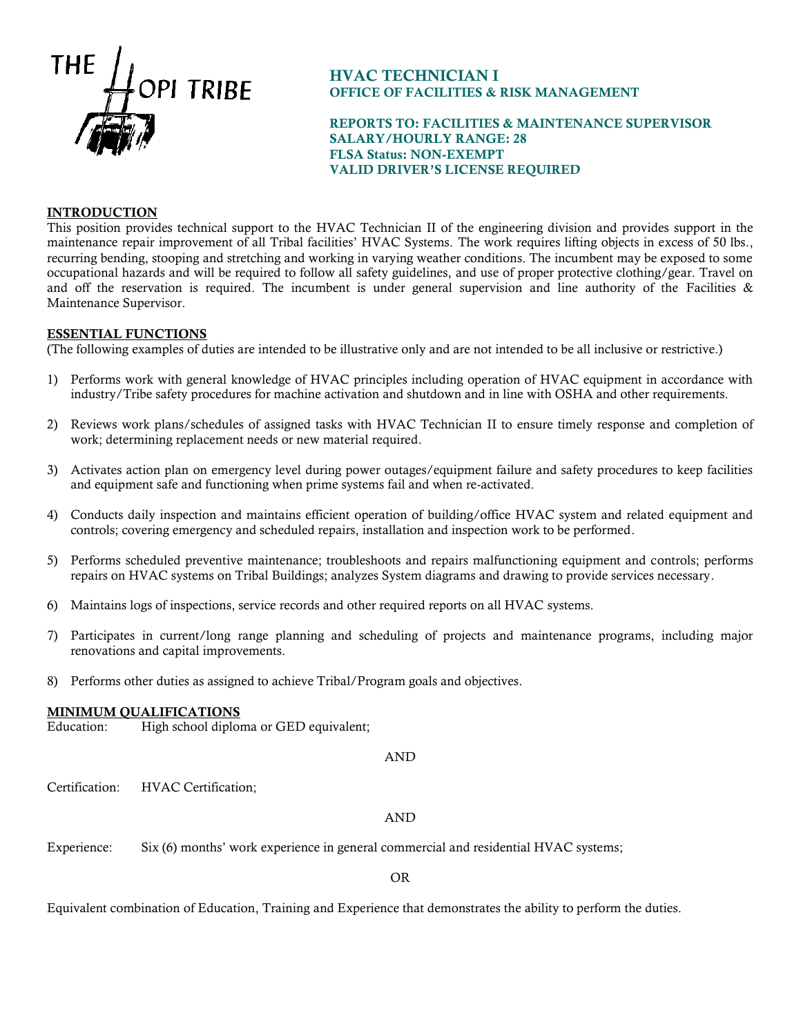

# HVAC TECHNICIAN I OFFICE OF FACILITIES & RISK MANAGEMENT

## REPORTS TO: FACILITIES & MAINTENANCE SUPERVISOR SALARY/HOURLY RANGE: 28 FLSA Status: NON-EXEMPT VALID DRIVER'S LICENSE REQUIRED

## INTRODUCTION

This position provides technical support to the HVAC Technician II of the engineering division and provides support in the maintenance repair improvement of all Tribal facilities' HVAC Systems. The work requires lifting objects in excess of 50 lbs., recurring bending, stooping and stretching and working in varying weather conditions. The incumbent may be exposed to some occupational hazards and will be required to follow all safety guidelines, and use of proper protective clothing/gear. Travel on and off the reservation is required. The incumbent is under general supervision and line authority of the Facilities  $\&$ Maintenance Supervisor.

### ESSENTIAL FUNCTIONS

(The following examples of duties are intended to be illustrative only and are not intended to be all inclusive or restrictive.)

- 1) Performs work with general knowledge of HVAC principles including operation of HVAC equipment in accordance with industry/Tribe safety procedures for machine activation and shutdown and in line with OSHA and other requirements.
- 2) Reviews work plans/schedules of assigned tasks with HVAC Technician II to ensure timely response and completion of work; determining replacement needs or new material required.
- 3) Activates action plan on emergency level during power outages/equipment failure and safety procedures to keep facilities and equipment safe and functioning when prime systems fail and when re-activated.
- 4) Conducts daily inspection and maintains efficient operation of building/office HVAC system and related equipment and controls; covering emergency and scheduled repairs, installation and inspection work to be performed.
- 5) Performs scheduled preventive maintenance; troubleshoots and repairs malfunctioning equipment and controls; performs repairs on HVAC systems on Tribal Buildings; analyzes System diagrams and drawing to provide services necessary.
- 6) Maintains logs of inspections, service records and other required reports on all HVAC systems.
- 7) Participates in current/long range planning and scheduling of projects and maintenance programs, including major renovations and capital improvements.
- 8) Performs other duties as assigned to achieve Tribal/Program goals and objectives.

#### MINIMUM QUALIFICATIONS

Education: High school diploma or GED equivalent;

AND

Certification: HVAC Certification;

### AND

Experience: Six (6) months' work experience in general commercial and residential HVAC systems;

OR

Equivalent combination of Education, Training and Experience that demonstrates the ability to perform the duties.